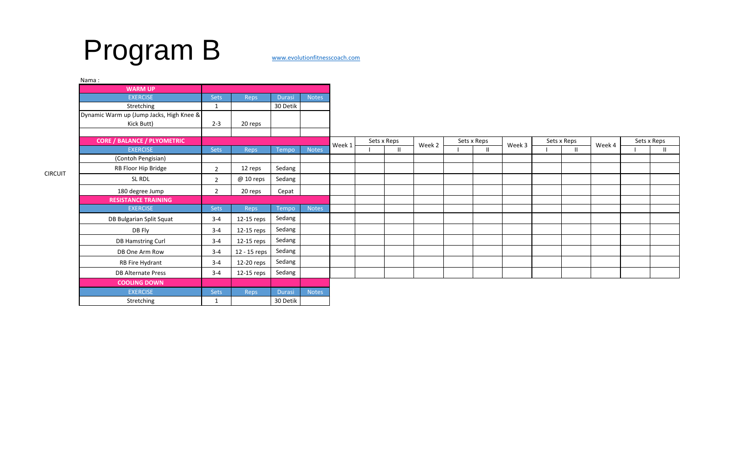# Program B [www.evolutionfitnesscoach.com](http://www.evolutionfitnesscoach.com/)

| Nama:                                    |                |              |               |              |        |               |        |             |              |        |             |              |        |             |    |
|------------------------------------------|----------------|--------------|---------------|--------------|--------|---------------|--------|-------------|--------------|--------|-------------|--------------|--------|-------------|----|
| <b>WARM UP</b>                           |                |              |               |              |        |               |        |             |              |        |             |              |        |             |    |
| <b>EXERCISE</b>                          | Sets           | Reps         | <b>Durasi</b> | <b>Notes</b> |        |               |        |             |              |        |             |              |        |             |    |
| Stretching                               | $\mathbf{1}$   |              | 30 Detik      |              |        |               |        |             |              |        |             |              |        |             |    |
| Dynamic Warm up (Jump Jacks, High Knee & |                |              |               |              |        |               |        |             |              |        |             |              |        |             |    |
| Kick Butt)                               | $2 - 3$        | 20 reps      |               |              |        |               |        |             |              |        |             |              |        |             |    |
| <b>CORE / BALANCE / PLYOMETRIC</b>       |                |              |               |              |        | Sets x Reps   |        | Sets x Reps |              |        | Sets x Reps |              |        | Sets x Reps |    |
| <b>EXERCISE</b>                          | Sets           | Reps         | Tempo         | <b>Notes</b> | Week 1 | $\mathbf{II}$ | Week 2 |             | $\mathbf{H}$ | Week 3 |             | $\mathbf{H}$ | Week 4 |             | Н. |
| (Contoh Pengisian)                       |                |              |               |              |        |               |        |             |              |        |             |              |        |             |    |
| RB Floor Hip Bridge                      | $\overline{2}$ | 12 reps      | Sedang        |              |        |               |        |             |              |        |             |              |        |             |    |
| SL RDL                                   | $2^{\circ}$    | @ 10 reps    | Sedang        |              |        |               |        |             |              |        |             |              |        |             |    |
| 180 degree Jump                          | $2^{\circ}$    | 20 reps      | Cepat         |              |        |               |        |             |              |        |             |              |        |             |    |
| <b>RESISTANCE TRAINING</b>               |                |              |               |              |        |               |        |             |              |        |             |              |        |             |    |
| <b>EXERCISE</b>                          | Sets           | <b>Reps</b>  | Tempo         | <b>Notes</b> |        |               |        |             |              |        |             |              |        |             |    |
| DB Bulgarian Split Squat                 | $3 - 4$        | 12-15 reps   | Sedang        |              |        |               |        |             |              |        |             |              |        |             |    |
| DB Fly                                   | $3 - 4$        | 12-15 reps   | Sedang        |              |        |               |        |             |              |        |             |              |        |             |    |
| DB Hamstring Curl                        | $3 - 4$        | 12-15 reps   | Sedang        |              |        |               |        |             |              |        |             |              |        |             |    |
| DB One Arm Row                           | $3 - 4$        | 12 - 15 reps | Sedang        |              |        |               |        |             |              |        |             |              |        |             |    |
| RB Fire Hydrant                          | $3 - 4$        | 12-20 reps   | Sedang        |              |        |               |        |             |              |        |             |              |        |             |    |
| <b>DB Alternate Press</b>                | $3 - 4$        | 12-15 reps   | Sedang        |              |        |               |        |             |              |        |             |              |        |             |    |
| <b>COOLING DOWN</b>                      |                |              |               |              |        |               |        |             |              |        |             |              |        |             |    |
| <b>EXERCISE</b>                          | <b>Sets</b>    | <b>Reps</b>  | <b>Durasi</b> | <b>Notes</b> |        |               |        |             |              |        |             |              |        |             |    |
| Stretching                               | 1              |              | 30 Detik      |              |        |               |        |             |              |        |             |              |        |             |    |

## CIRCUIT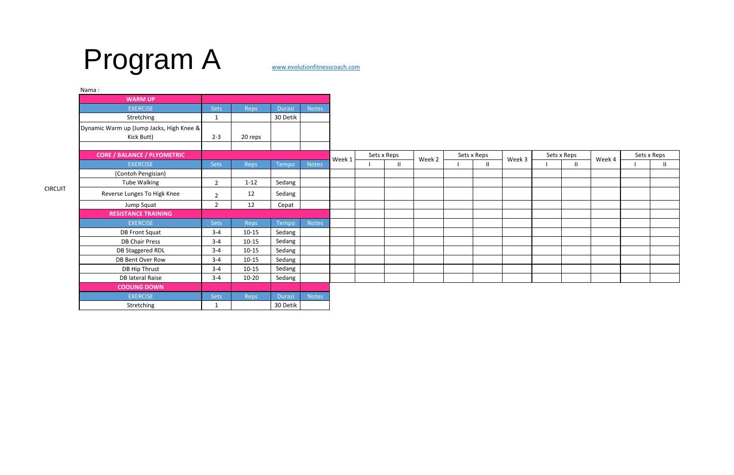| Nama:                                    |                |           |          |              |             |  |              |             |  |              |             |  |              |             |  |   |
|------------------------------------------|----------------|-----------|----------|--------------|-------------|--|--------------|-------------|--|--------------|-------------|--|--------------|-------------|--|---|
| <b>WARM UP</b>                           |                |           |          |              |             |  |              |             |  |              |             |  |              |             |  |   |
| <b>EXERCISE</b>                          | <b>Sets</b>    | Reps      | Durasi   | <b>Notes</b> |             |  |              |             |  |              |             |  |              |             |  |   |
| Stretching                               |                |           | 30 Detik |              |             |  |              |             |  |              |             |  |              |             |  |   |
| Dynamic Warm up (Jump Jacks, High Knee & |                |           |          |              |             |  |              |             |  |              |             |  |              |             |  |   |
| Kick Butt)                               | $2 - 3$        | 20 reps   |          |              |             |  |              |             |  |              |             |  |              |             |  |   |
| <b>CORE / BALANCE / PLYOMETRIC</b>       |                |           |          |              | Sets x Reps |  |              | Sets x Reps |  |              | Sets x Reps |  |              | Sets x Reps |  |   |
| <b>EXERCISE</b>                          | Sets           | Reps      | Tempo    | <b>Notes</b> | Week 1      |  | $\mathbf{I}$ | Week 2      |  | $\mathbf{H}$ | Week 3      |  | $\mathbf{I}$ | Week 4      |  | Ш |
| (Contoh Pengisian)                       |                |           |          |              |             |  |              |             |  |              |             |  |              |             |  |   |
| Tube Walking                             | $\overline{2}$ | $1-12$    | Sedang   |              |             |  |              |             |  |              |             |  |              |             |  |   |
| Reverse Lunges To Higk Knee              | $\overline{2}$ | 12        | Sedang   |              |             |  |              |             |  |              |             |  |              |             |  |   |
| Jump Squat                               | $2^{\circ}$    | 12        | Cepat    |              |             |  |              |             |  |              |             |  |              |             |  |   |
| <b>RESISTANCE TRAINING</b>               |                |           |          |              |             |  |              |             |  |              |             |  |              |             |  |   |
| <b>EXERCISE</b>                          | Sets           | Reps      | Tempo    | <b>Notes</b> |             |  |              |             |  |              |             |  |              |             |  |   |
| <b>DB Front Squat</b>                    | $3 - 4$        | $10 - 15$ | Sedang   |              |             |  |              |             |  |              |             |  |              |             |  |   |
| <b>DB Chair Press</b>                    | $3 - 4$        | $10 - 15$ | Sedang   |              |             |  |              |             |  |              |             |  |              |             |  |   |
| DB Staggered RDL                         | $3 - 4$        | $10 - 15$ | Sedang   |              |             |  |              |             |  |              |             |  |              |             |  |   |
| DB Bent Over Row                         | $3 - 4$        | $10 - 15$ | Sedang   |              |             |  |              |             |  |              |             |  |              |             |  |   |
| DB Hip Thrust                            | $3 - 4$        | $10 - 15$ | Sedang   |              |             |  |              |             |  |              |             |  |              |             |  |   |
| DB lateral Raise                         | $3 - 4$        | $10 - 20$ | Sedang   |              |             |  |              |             |  |              |             |  |              |             |  |   |
| <b>COOLING DOWN</b>                      |                |           |          |              |             |  |              |             |  |              |             |  |              |             |  |   |
| <b>EXERCISE</b>                          | <b>Sets</b>    | Reps      | Durasi   | <b>Notes</b> |             |  |              |             |  |              |             |  |              |             |  |   |
| Stretching                               |                |           | 30 Detik |              |             |  |              |             |  |              |             |  |              |             |  |   |

# Program A [www.evolutionfitnesscoach.com](http://www.evolutionfitnesscoach.com/)

CIRCUIT